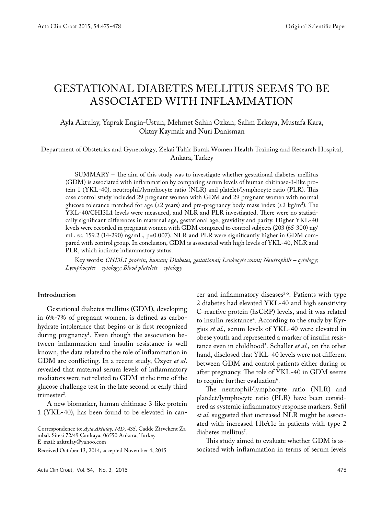# GESTATIONAL DIABETES MELLITUS SEEMS TO BE ASSOCIATED WITH INFLAMMATION

# Ayla Aktulay, Yaprak Engin-Ustun, Mehmet Sahin Ozkan, Salim Erkaya, Mustafa Kara, Oktay Kaymak and Nuri Danisman

Department of Obstetrics and Gynecology, Zekai Tahir Burak Women Health Training and Research Hospital, Ankara, Turkey

SUMMARY – The aim of this study was to investigate whether gestational diabetes mellitus (GDM) is associated with inflammation by comparing serum levels of human chitinase-3-like protein 1 (YKL-40), neutrophil/lymphocyte ratio (NLR) and platelet/lymphocyte ratio (PLR). This case control study included 29 pregnant women with GDM and 29 pregnant women with normal glucose tolerance matched for age (±2 years) and pre-pregnancy body mass index (±2 kg/m<sup>2</sup>). The YKL-40/CHI3L1 levels were measured, and NLR and PLR investigated. There were no statistically significant differences in maternal age, gestational age, gravidity and parity. Higher YKL-40 levels were recorded in pregnant women with GDM compared to control subjects (203 (65-300) ng/ mL *vs*. 159.2 (14-290) ng/mL, p=0.007). NLR and PLR were significantly higher in GDM compared with control group. In conclusion, GDM is associated with high levels of YKL-40, NLR and PLR, which indicate inflammatory status.

Key words: *CHI3L1 protein, human; Diabetes, gestational; Leukocyte count; Neutrophils – cytology; Lymphocytes – cytology; Blood platelets – cytology* 

#### **Introduction**

Gestational diabetes mellitus (GDM), developing in 6%-7% of pregnant women, is defined as carbohydrate intolerance that begins or is first recognized during pregnancy1 . Even though the association between inflammation and insulin resistance is well known, the data related to the role of inflammation in GDM are conflicting. In a recent study, Ozyer *et al*. revealed that maternal serum levels of inflammatory mediators were not related to GDM at the time of the glucose challenge test in the late second or early third trimester<sup>2</sup>.

A new biomarker, human chitinase-3-like protein 1 (YKL-40), has been found to be elevated in cancer and inflammatory diseases<sup>3-5</sup>. Patients with type 2 diabetes had elevated YKL-40 and high sensitivity C-reactive protein (hsCRP) levels, and it was related to insulin resistance4 . According to the study by Kyrgios *et al.,* serum levels of YKL-40 were elevated in obese youth and represented a marker of insulin resistance even in childhood5 . Schaller *et al.,* on the other hand, disclosed that YKL-40 levels were not different between GDM and control patients either during or after pregnancy. The role of YKL-40 in GDM seems to require further evaluation<sup>6</sup>.

The neutrophil/lymphocyte ratio (NLR) and platelet/lymphocyte ratio (PLR) have been considered as systemic inflammatory response markers. Sefil *et al*. suggested that increased NLR might be associated with increased HbA1c in patients with type 2 diabetes mellitus<sup>7</sup>.

This study aimed to evaluate whether GDM is associated with inflammation in terms of serum levels

Correspondence to: *Ayla Aktulay, MD*, 435. Cadde Zirvekent Zambak Sitesi 72/49 Çankaya, 06550 Ankara, Turkey E-mail: aaktulay@yahoo.com

Received October 13, 2014, accepted November 4, 2015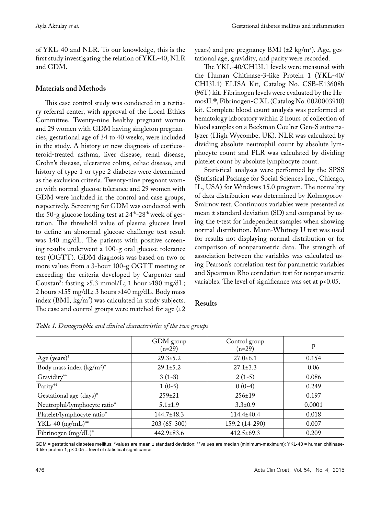of YKL-40 and NLR. To our knowledge, this is the first study investigating the relation of YKL-40, NLR and GDM.

# **Materials and Methods**

This case control study was conducted in a tertiary referral center, with approval of the Local Ethics Committee. Twenty-nine healthy pregnant women and 29 women with GDM having singleton pregnancies, gestational age of 34 to 40 weeks, were included in the study. A history or new diagnosis of corticosteroid-treated asthma, liver disease, renal disease, Crohn's disease, ulcerative colitis, celiac disease, and history of type 1 or type 2 diabetes were determined as the exclusion criteria. Twenty-nine pregnant women with normal glucose tolerance and 29 women with GDM were included in the control and case groups, respectively. Screening for GDM was conducted with the 50-g glucose loading test at  $24<sup>th</sup>-28<sup>th</sup>$  week of gestation. The threshold value of plasma glucose level to define an abnormal glucose challenge test result was 140 mg/dL. The patients with positive screening results underwent a 100-g oral glucose tolerance test (OGTT). GDM diagnosis was based on two or more values from a 3-hour 100-g OGTT meeting or exceeding the criteria developed by Carpenter and Coustan8 : fasting >5.3 mmol/L; 1 hour >180 mg/dL; 2 hours >155 mg/dL; 3 hours >140 mg/dL. Body mass index (BMI, kg/m2 ) was calculated in study subjects. The case and control groups were matched for age  $(\pm 2)$ 

years) and pre-pregnancy BMI (±2 kg/m<sup>2</sup>). Age, gestational age, gravidity, and parity were recorded.

The YKL-40/CHI3L1 levels were measured with the Human Chitinase-3-like Protein 1 (YKL-40/ CHI3L1) ELISA Kit, Catalog No. CSB-E13608h (96T) kit. Fibrinogen levels were evaluated by the HemosIL®, Fibrinogen-C XL (Catalog No. 0020003910) kit. Complete blood count analysis was performed at hematology laboratory within 2 hours of collection of blood samples on a Beckman Coulter Gen-S autoanalyzer (High Wycombe, UK). NLR was calculated by dividing absolute neutrophil count by absolute lymphocyte count and PLR was calculated by dividing platelet count by absolute lymphocyte count.

Statistical analyses were performed by the SPSS (Statistical Package for Social Sciences Inc., Chicago, IL, USA) for Windows 15.0 program. The normality of data distribution was determined by Kolmogorov-Smirnov test. Continuous variables were presented as mean ± standard deviation (SD) and compared by using the t-test for independent samples when showing normal distribution. Mann-Whitney U test was used for results not displaying normal distribution or for comparison of nonparametric data. The strength of association between the variables was calculated using Pearson's correlation test for parametric variables and Spearman Rho correlation test for nonparametric variables. The level of significance was set at p<0.05.

## **Results**

|                              | GDM group<br>$(n=29)$ | Control group<br>$(n=29)$ | p      |
|------------------------------|-----------------------|---------------------------|--------|
| Age (years) $*$              | $29.3 \pm 5.2$        | $27.0 \pm 6.1$            | 0.154  |
| Body mass index $(kg/m^2)^*$ | $29.1 \pm 5.2$        | $27.1 \pm 3.3$            | 0.06   |
| Gravidity**                  | $3(1-8)$              | $2(1-5)$                  | 0.086  |
| Parity**                     | $1(0-5)$              | $0(0-4)$                  | 0.249  |
| Gestational age (days)*      | $259 \pm 21$          | $256 \pm 19$              | 0.197  |
| Neutrophil/lymphocyte ratio* | $5.1 \pm 1.9$         | $3.3 \pm 0.9$             | 0.0001 |
| Platelet/lymphocyte ratio*   | $144.7 \pm 48.3$      | $114.4 \pm 40.4$          | 0.018  |
| YKL-40 $(ng/mL)^{**}$        | $203(65-300)$         | 159.2 (14-290)            | 0.007  |
| Fibrinogen $(mg/dL)^*$       | $442.9 \pm 83.6$      | $412.5 \pm 69.3$          | 0.209  |

*Table 1. Demographic and clinical characteristics of the two groups*

GDM = gestational diabetes mellitus; \*values are mean ± standard deviation; \*\*values are median (minimum-maximum); YKL-40 = human chitinase-3-like protein 1; p<0.05 = level of statistical significance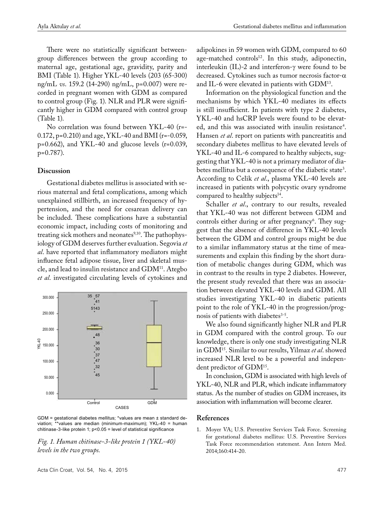There were no statistically significant betweengroup differences between the group according to maternal age, gestational age, gravidity, parity and BMI (Table 1). Higher YKL-40 levels (203 (65-300) ng/mL *vs*. 159.2 (14-290) ng/mL, p=0.007) were recorded in pregnant women with GDM as compared to control group (Fig. 1). NLR and PLR were significantly higher in GDM compared with control group (Table 1).

No correlation was found between YKL-40 (r=- 0.172, p=0.210) and age, YKL-40 and BMI (r=-0.059, p=0.662), and YKL-40 and glucose levels (r=0.039, p=0.787).

## **Discussion**

Gestational diabetes mellitus is associated with serious maternal and fetal complications, among which unexplained stillbirth, an increased frequency of hypertension, and the need for cesarean delivery can be included. These complications have a substantial economic impact, including costs of monitoring and treating sick mothers and neonates $9,10$ . The pathophysiology of GDM deserves further evaluation. Segovia *et al*. have reported that inflammatory mediators might influence fetal adipose tissue, liver and skeletal muscle, and lead to insulin resistance and GDM11. Ategbo *et al*. investigated circulating levels of cytokines and



GDM = gestational diabetes mellitus; \*values are mean ± standard deviation; \*\*values are median (minimum-maximum); YKL-40 = human chitinase-3-like protein 1;  $p < 0.05$  = level of statistical significance

*Fig. 1. Human chitinase-3-like protein 1 (YKL-40) levels in the two groups.*

Acta Clin Croat, Vol. 54, No. 4, 2015 477

adipokines in 59 women with GDM, compared to 60 age-matched controls $12$ . In this study, adiponectin, interleukin (IL)-2 and interferon-γ were found to be decreased. Cytokines such as tumor necrosis factor-α and IL-6 were elevated in patients with GDM13.

Information on the physiological function and the mechanisms by which YKL-40 mediates its effects is still insufficient. In patients with type 2 diabetes, YKL-40 and hsCRP levels were found to be elevated, and this was associated with insulin resistance<sup>4</sup>. Hansen *et al*. report on patients with pancreatitis and secondary diabetes mellitus to have elevated levels of YKL-40 and IL-6 compared to healthy subjects, suggesting that YKL-40 is not a primary mediator of diabetes mellitus but a consequence of the diabetic state<sup>3</sup>. According to Celik *et al*., plasma YKL-40 levels are increased in patients with polycystic ovary syndrome compared to healthy subjects<sup>14</sup>.

Schaller *et al.*, contrary to our results, revealed that YKL-40 was not different between GDM and controls either during or after pregnancy<sup>6</sup>. They suggest that the absence of difference in YKL-40 levels between the GDM and control groups might be due to a similar inflammatory status at the time of measurements and explain this finding by the short duration of metabolic changes during GDM, which was in contrast to the results in type 2 diabetes. However, the present study revealed that there was an association between elevated YKL-40 levels and GDM. All studies investigating YKL-40 in diabetic patients point to the role of YKL-40 in the progression/prognosis of patients with diabetes<sup>3-5</sup>.

We also found significantly higher NLR and PLR in GDM compared with the control group. To our knowledge, there is only one study investigating NLR in GDM15. Similar to our results, Yilmaz *et al*. showed increased NLR level to be a powerful and independent predictor of GDM15.

In conclusion, GDM is associated with high levels of YKL-40, NLR and PLR, which indicate inflammatory status. As the number of studies on GDM increases, its association with inflammation will become clearer.

#### **References**

1. Moyer VA; U.S. Preventive Services Task Force. Screening for gestational diabetes mellitus: U.S. Preventive Services Task Force recommendation statement. Ann Intern Med. 2014;160:414-20.